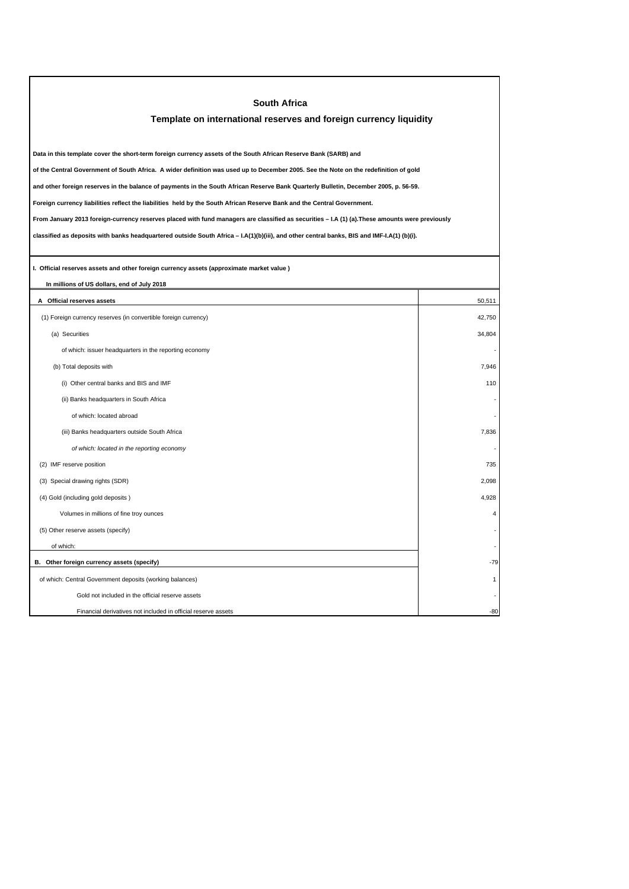| <b>South Africa</b>                                                                                                                             |                         |  |  |
|-------------------------------------------------------------------------------------------------------------------------------------------------|-------------------------|--|--|
| Template on international reserves and foreign currency liquidity                                                                               |                         |  |  |
|                                                                                                                                                 |                         |  |  |
| Data in this template cover the short-term foreign currency assets of the South African Reserve Bank (SARB) and                                 |                         |  |  |
| of the Central Government of South Africa. A wider definition was used up to December 2005. See the Note on the redefinition of gold            |                         |  |  |
| and other foreign reserves in the balance of payments in the South African Reserve Bank Quarterly Bulletin, December 2005, p. 56-59.            |                         |  |  |
| Foreign currency liabilities reflect the liabilities held by the South African Reserve Bank and the Central Government.                         |                         |  |  |
| From January 2013 foreign-currency reserves placed with fund managers are classified as securities - I.A (1) (a). These amounts were previously |                         |  |  |
| classified as deposits with banks headquartered outside South Africa - I.A(1)(b)(iii), and other central banks, BIS and IMF-I.A(1) (b)(i).      |                         |  |  |
|                                                                                                                                                 |                         |  |  |
| I. Official reserves assets and other foreign currency assets (approximate market value)                                                        |                         |  |  |
| In millions of US dollars, end of July 2018                                                                                                     |                         |  |  |
| A Official reserves assets                                                                                                                      | 50,511                  |  |  |
| (1) Foreign currency reserves (in convertible foreign currency)                                                                                 | 42.750                  |  |  |
| (a) Securities                                                                                                                                  | 34,804                  |  |  |
| of which: issuer headquarters in the reporting economy                                                                                          |                         |  |  |
| (b) Total deposits with                                                                                                                         | 7,946                   |  |  |
| (i) Other central banks and BIS and IMF                                                                                                         | 110                     |  |  |
| (ii) Banks headquarters in South Africa                                                                                                         |                         |  |  |
| of which: located abroad                                                                                                                        |                         |  |  |
| (iii) Banks headquarters outside South Africa                                                                                                   | 7,836                   |  |  |
| of which: located in the reporting economy                                                                                                      |                         |  |  |
| (2) IMF reserve position                                                                                                                        | 735                     |  |  |
| (3) Special drawing rights (SDR)                                                                                                                | 2,098                   |  |  |
| (4) Gold (including gold deposits)                                                                                                              | 4,928                   |  |  |
| Volumes in millions of fine troy ounces                                                                                                         | $\overline{\mathbf{4}}$ |  |  |
| (5) Other reserve assets (specify)                                                                                                              |                         |  |  |
| of which:                                                                                                                                       |                         |  |  |
| B. Other foreign currency assets (specify)                                                                                                      | -79                     |  |  |
| of which: Central Government deposits (working balances)                                                                                        | 1                       |  |  |
| Gold not included in the official reserve assets                                                                                                |                         |  |  |
| Financial derivatives not included in official reserve assets                                                                                   | -80                     |  |  |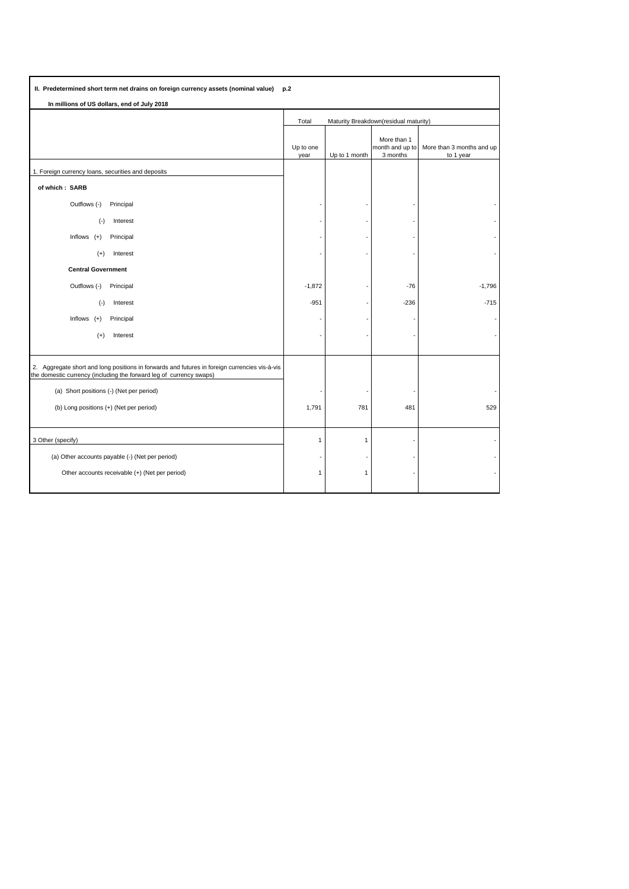| II. Predetermined short term net drains on foreign currency assets (nominal value)<br>p.2                                                                            |                                                |               |                                            |                                        |  |
|----------------------------------------------------------------------------------------------------------------------------------------------------------------------|------------------------------------------------|---------------|--------------------------------------------|----------------------------------------|--|
| In millions of US dollars, end of July 2018                                                                                                                          |                                                |               |                                            |                                        |  |
|                                                                                                                                                                      | Maturity Breakdown(residual maturity)<br>Total |               |                                            |                                        |  |
|                                                                                                                                                                      | Up to one<br>year                              | Up to 1 month | More than 1<br>month and up to<br>3 months | More than 3 months and up<br>to 1 year |  |
| 1. Foreign currency loans, securities and deposits                                                                                                                   |                                                |               |                                            |                                        |  |
| of which: SARB                                                                                                                                                       |                                                |               |                                            |                                        |  |
| Outflows (-)<br>Principal                                                                                                                                            |                                                |               |                                            |                                        |  |
| $(-)$<br>Interest                                                                                                                                                    |                                                |               |                                            |                                        |  |
| Inflows $(+)$<br>Principal                                                                                                                                           |                                                |               |                                            |                                        |  |
| Interest<br>$(+)$                                                                                                                                                    |                                                |               |                                            |                                        |  |
| <b>Central Government</b>                                                                                                                                            |                                                |               |                                            |                                        |  |
| Outflows (-)<br>Principal                                                                                                                                            | $-1,872$                                       |               | $-76$                                      | $-1,796$                               |  |
| $(-)$<br>Interest                                                                                                                                                    | $-951$                                         |               | $-236$                                     | $-715$                                 |  |
| Inflows<br>$(+)$<br>Principal                                                                                                                                        |                                                |               |                                            |                                        |  |
| $(+)$<br>Interest                                                                                                                                                    |                                                |               |                                            |                                        |  |
| 2. Aggregate short and long positions in forwards and futures in foreign currencies vis-à-vis<br>the domestic currency (including the forward leg of currency swaps) |                                                |               |                                            |                                        |  |
| (a) Short positions (-) (Net per period)                                                                                                                             |                                                |               |                                            |                                        |  |
| (b) Long positions (+) (Net per period)                                                                                                                              | 1,791                                          | 781           | 481                                        | 529                                    |  |
| 3 Other (specify)                                                                                                                                                    | $\mathbf{1}$                                   | 1             |                                            |                                        |  |
| (a) Other accounts payable (-) (Net per period)                                                                                                                      |                                                |               |                                            |                                        |  |
| Other accounts receivable (+) (Net per period)                                                                                                                       | $\overline{1}$                                 | $\mathbf{1}$  |                                            |                                        |  |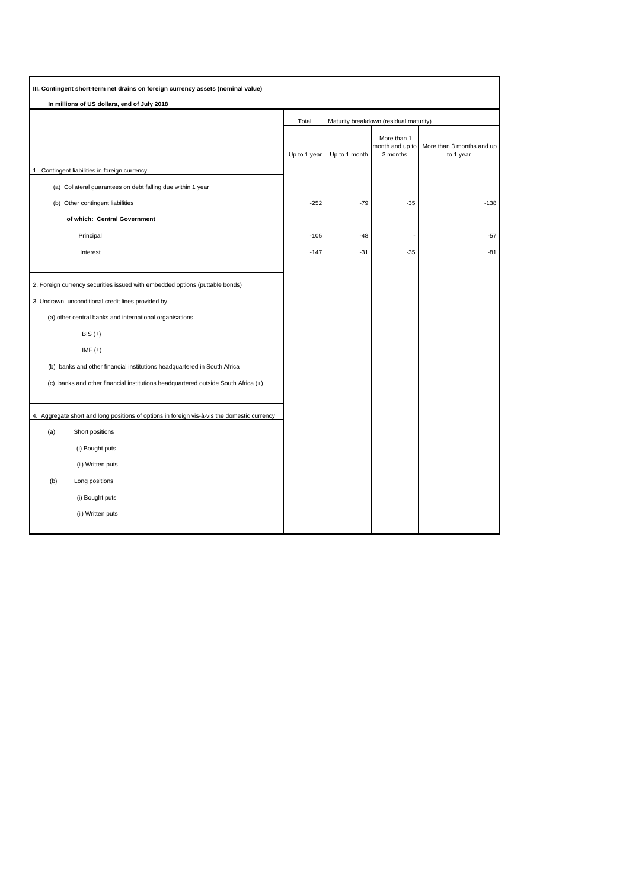| III. Contingent short-term net drains on foreign currency assets (nominal value) |                                                                                             |              |                                        |                                            |                                        |
|----------------------------------------------------------------------------------|---------------------------------------------------------------------------------------------|--------------|----------------------------------------|--------------------------------------------|----------------------------------------|
|                                                                                  | In millions of US dollars, end of July 2018                                                 |              |                                        |                                            |                                        |
|                                                                                  |                                                                                             | Total        | Maturity breakdown (residual maturity) |                                            |                                        |
|                                                                                  |                                                                                             | Up to 1 year | Up to 1 month                          | More than 1<br>month and up to<br>3 months | More than 3 months and up<br>to 1 year |
|                                                                                  | 1. Contingent liabilities in foreign currency                                               |              |                                        |                                            |                                        |
|                                                                                  | (a) Collateral guarantees on debt falling due within 1 year                                 |              |                                        |                                            |                                        |
|                                                                                  | (b) Other contingent liabilities                                                            | $-252$       | $-79$                                  | $-35$                                      | $-138$                                 |
|                                                                                  | of which: Central Government                                                                |              |                                        |                                            |                                        |
|                                                                                  | Principal                                                                                   | $-105$       | $-48$                                  |                                            | $-57$                                  |
|                                                                                  | Interest                                                                                    | $-147$       | $-31$                                  | $-35$                                      | -81                                    |
|                                                                                  |                                                                                             |              |                                        |                                            |                                        |
|                                                                                  | 2. Foreign currency securities issued with embedded options (puttable bonds)                |              |                                        |                                            |                                        |
|                                                                                  | 3. Undrawn, unconditional credit lines provided by                                          |              |                                        |                                            |                                        |
|                                                                                  | (a) other central banks and international organisations                                     |              |                                        |                                            |                                        |
|                                                                                  | $BIS (+)$                                                                                   |              |                                        |                                            |                                        |
|                                                                                  | $IMF (+)$                                                                                   |              |                                        |                                            |                                        |
|                                                                                  | (b) banks and other financial institutions headquartered in South Africa                    |              |                                        |                                            |                                        |
|                                                                                  | (c) banks and other financial institutions headquartered outside South Africa (+)           |              |                                        |                                            |                                        |
|                                                                                  |                                                                                             |              |                                        |                                            |                                        |
|                                                                                  | 4. Aggregate short and long positions of options in foreign vis-à-vis the domestic currency |              |                                        |                                            |                                        |
| (a)                                                                              | Short positions                                                                             |              |                                        |                                            |                                        |
|                                                                                  | (i) Bought puts                                                                             |              |                                        |                                            |                                        |
|                                                                                  | (ii) Written puts                                                                           |              |                                        |                                            |                                        |
| (b)                                                                              | Long positions                                                                              |              |                                        |                                            |                                        |
|                                                                                  | (i) Bought puts                                                                             |              |                                        |                                            |                                        |
|                                                                                  | (ii) Written puts                                                                           |              |                                        |                                            |                                        |
|                                                                                  |                                                                                             |              |                                        |                                            |                                        |